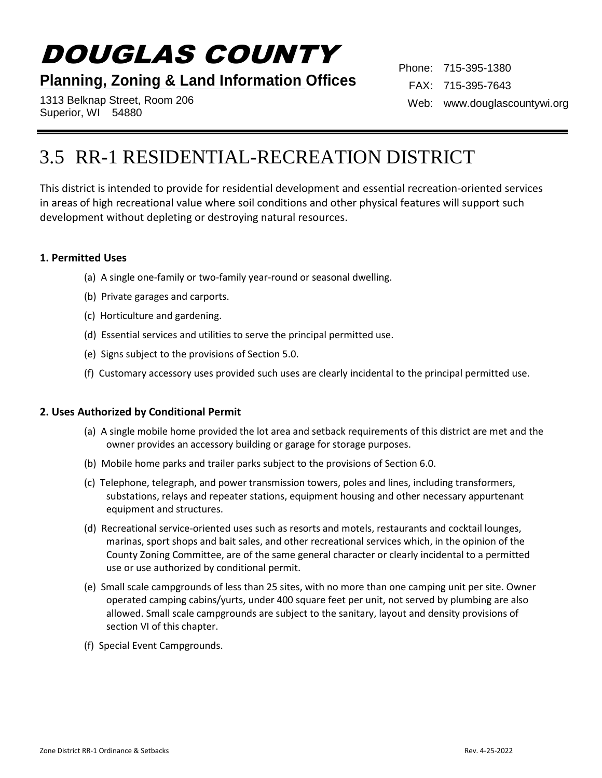# DOUGLAS COUNTY

## **Planning, Zoning & Land Information Offices**

1313 Belknap Street, Room 206 Superior, WI 54880

Phone: 715-395-1380 FAX: 715-395-7643 Web: www.douglascountywi.org

# 3.5 RR-1 RESIDENTIAL-RECREATION DISTRICT

This district is intended to provide for residential development and essential recreation-oriented services in areas of high recreational value where soil conditions and other physical features will support such development without depleting or destroying natural resources.

#### **1. Permitted Uses**

- (a) A single one-family or two-family year-round or seasonal dwelling.
- (b) Private garages and carports.
- (c) Horticulture and gardening.
- (d) Essential services and utilities to serve the principal permitted use.
- (e) Signs subject to the provisions of Section 5.0.
- (f) Customary accessory uses provided such uses are clearly incidental to the principal permitted use.

#### **2. Uses Authorized by Conditional Permit**

- (a) A single mobile home provided the lot area and setback requirements of this district are met and the owner provides an accessory building or garage for storage purposes.
- (b) Mobile home parks and trailer parks subject to the provisions of Section 6.0.
- (c) Telephone, telegraph, and power transmission towers, poles and lines, including transformers, substations, relays and repeater stations, equipment housing and other necessary appurtenant equipment and structures.
- (d) Recreational service-oriented uses such as resorts and motels, restaurants and cocktail lounges, marinas, sport shops and bait sales, and other recreational services which, in the opinion of the County Zoning Committee, are of the same general character or clearly incidental to a permitted use or use authorized by conditional permit.
- (e) Small scale campgrounds of less than 25 sites, with no more than one camping unit per site. Owner operated camping cabins/yurts, under 400 square feet per unit, not served by plumbing are also allowed. Small scale campgrounds are subject to the sanitary, layout and density provisions of section VI of this chapter.
- (f) Special Event Campgrounds.